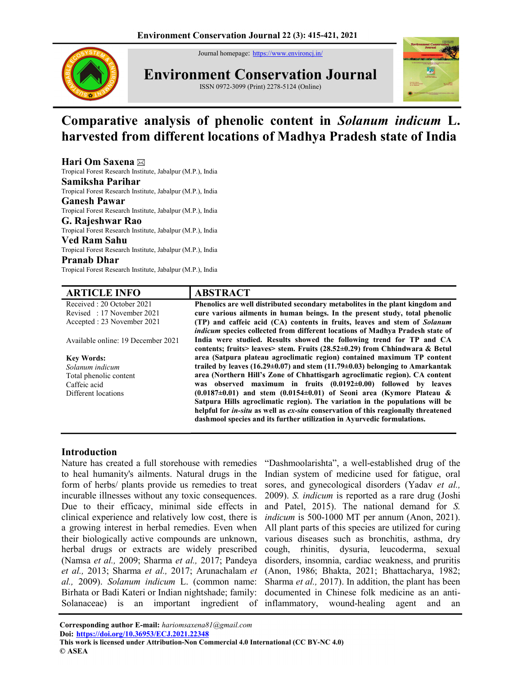Journal homepage: https://www.environcj.in/



Environment Conservation Journal ISSN 0972-3099 (Print) 2278-5124 (Online)



# Comparative analysis of phenolic content in Solanum indicum L. harvested from different locations of Madhya Pradesh state of India

# Hari Om Saxena

Tropical Forest Research Institute, Jabalpur (M.P.), India

# Samiksha Parihar

Tropical Forest Research Institute, Jabalpur (M.P.), India

# Ganesh Pawar

Tropical Forest Research Institute, Jabalpur (M.P.), India

G. Rajeshwar Rao Tropical Forest Research Institute, Jabalpur (M.P.), India

#### Ved Ram Sahu

Tropical Forest Research Institute, Jabalpur (M.P.), India

#### Pranab Dhar

Tropical Forest Research Institute, Jabalpur (M.P.), India

## ARTICLE INFO ABSTRACT

Received : 20 October 2021 Revised : 17 November 2021 Accepted : 23 November 2021 Available online: 19 December 2021 Key Words: Solanum indicum Total phenolic content Caffeic acid Different locations Phenolics are well distributed secondary metabolites in the plant kingdom and cure various ailments in human beings. In the present study, total phenolic (TP) and caffeic acid (CA) contents in fruits, leaves and stem of Solanum indicum species collected from different locations of Madhya Pradesh state of India were studied. Results showed the following trend for TP and CA contents; fruits> leaves> stem. Fruits (28.52±0.29) from Chhindwara & Betul area (Satpura plateau agroclimatic region) contained maximum TP content trailed by leaves (16.29 $\pm$ 0.07) and stem (11.79 $\pm$ 0.03) belonging to Amarkantak area (Northern Hill's Zone of Chhattisgarh agroclimatic region). CA content was observed maximum in fruits (0.0192±0.00) followed by leaves  $(0.0187\pm0.01)$  and stem  $(0.0154\pm0.01)$  of Seoni area (Kymore Plateau & Satpura Hills agroclimatic region). The variation in the populations will be helpful for *in-situ* as well as *ex-situ* conservation of this reagionally threatened dashmool species and its further utilization in Ayurvedic formulations.

## Introduction

Nature has created a full storehouse with remedies to heal humanity's ailments. Natural drugs in the form of herbs/ plants provide us remedies to treat incurable illnesses without any toxic consequences. Due to their efficacy, minimal side effects in clinical experience and relatively low cost, there is a growing interest in herbal remedies. Even when their biologically active compounds are unknown, herbal drugs or extracts are widely prescribed (Namsa et al., 2009; Sharma et al., 2017; Pandeya et al., 2013; Sharma et al., 2017; Arunachalam et al., 2009). Solanum indicum L. (common name: Birhata or Badi Kateri or Indian nightshade; family:

Solanaceae) is an important ingredient of inflammatory, wound-healing agent and an "Dashmoolarishta", a well-established drug of the Indian system of medicine used for fatigue, oral sores, and gynecological disorders (Yadav et al., 2009). S. indicum is reported as a rare drug (Joshi and Patel, 2015). The national demand for S. indicum is 500-1000 MT per annum (Anon, 2021). All plant parts of this species are utilized for curing various diseases such as bronchitis, asthma, dry cough, rhinitis, dysuria, leucoderma, sexual disorders, insomnia, cardiac weakness, and pruritis (Anon, 1986; Bhakta, 2021; Bhattacharya, 1982; Sharma et al., 2017). In addition, the plant has been documented in Chinese folk medicine as an anti-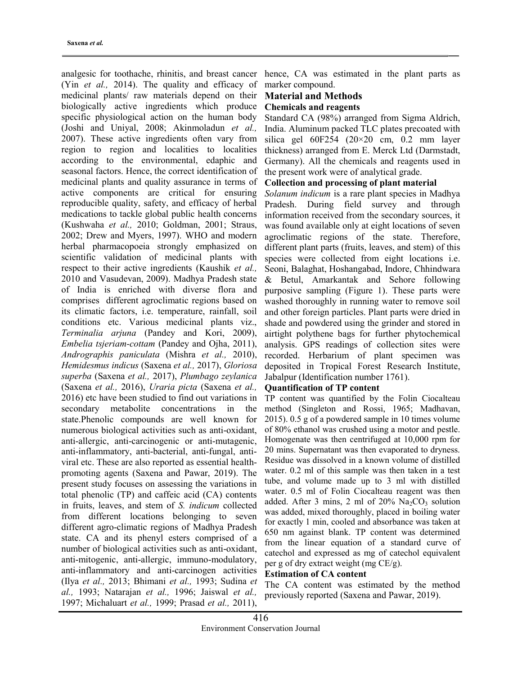analgesic for toothache, rhinitis, and breast cancer (Yin et al., 2014). The quality and efficacy of medicinal plants/ raw materials depend on their biologically active ingredients which produce specific physiological action on the human body (Joshi and Uniyal, 2008; Akinmoladun et al., 2007). These active ingredients often vary from region to region and localities to localities according to the environmental, edaphic and seasonal factors. Hence, the correct identification of medicinal plants and quality assurance in terms of active components are critical for ensuring reproducible quality, safety, and efficacy of herbal medications to tackle global public health concerns (Kushwaha et al., 2010; Goldman, 2001; Straus, 2002; Drew and Myers, 1997). WHO and modern herbal pharmacopoeia strongly emphasized on scientific validation of medicinal plants with respect to their active ingredients (Kaushik et al., 2010 and Vasudevan, 2009). Madhya Pradesh state of India is enriched with diverse flora and comprises different agroclimatic regions based on its climatic factors, i.e. temperature, rainfall, soil conditions etc. Various medicinal plants viz., Terminalia arjuna (Pandey and Kori, 2009), Embelia tsjeriam-cottam (Pandey and Ojha, 2011), Andrographis paniculata (Mishra et al., 2010), Hemidesmus indicus (Saxena et al., 2017), Gloriosa superba (Saxena et al., 2017), Plumbago zeylanica (Saxena et al., 2016), Uraria picta (Saxena et al., 2016) etc have been studied to find out variations in secondary metabolite concentrations in the state.Phenolic compounds are well known for numerous biological activities such as anti-oxidant, anti-allergic, anti-carcinogenic or anti-mutagenic, anti-inflammatory, anti-bacterial, anti-fungal, antiviral etc. These are also reported as essential healthpromoting agents (Saxena and Pawar, 2019). The present study focuses on assessing the variations in total phenolic (TP) and caffeic acid (CA) contents in fruits, leaves, and stem of S. indicum collected from different locations belonging to seven different agro-climatic regions of Madhya Pradesh state. CA and its phenyl esters comprised of a number of biological activities such as anti-oxidant, anti-mitogenic, anti-allergic, immuno-modulatory, anti-inflammatory and anti-carcinogen activities (Ilya et al., 2013; Bhimani et al., 1993; Sudina et al., 1993; Natarajan et al., 1996; Jaiswal et al., 1997; Michaluart et al., 1999; Prasad et al., 2011),

hence, CA was estimated in the plant parts as marker compound.

#### Material and Methods Chemicals and reagents

Standard CA (98%) arranged from Sigma Aldrich, India. Aluminum packed TLC plates precoated with silica gel 60F254 (20×20 cm, 0.2 mm layer thickness) arranged from E. Merck Ltd (Darmstadt, Germany). All the chemicals and reagents used in the present work were of analytical grade.

## Collection and processing of plant material

Solanum indicum is a rare plant species in Madhya Pradesh. During field survey and through information received from the secondary sources, it was found available only at eight locations of seven agroclimatic regions of the state. Therefore, different plant parts (fruits, leaves, and stem) of this species were collected from eight locations i.e. Seoni, Balaghat, Hoshangabad, Indore, Chhindwara & Betul, Amarkantak and Sehore following purposive sampling (Figure 1). These parts were washed thoroughly in running water to remove soil and other foreign particles. Plant parts were dried in shade and powdered using the grinder and stored in airtight polythene bags for further phytochemical analysis. GPS readings of collection sites were recorded. Herbarium of plant specimen was deposited in Tropical Forest Research Institute, Jabalpur (Identification number 1761).

## Quantification of TP content

TP content was quantified by the Folin Ciocalteau method (Singleton and Rossi, 1965; Madhavan, 2015). 0.5 g of a powdered sample in 10 times volume of 80% ethanol was crushed using a motor and pestle. Homogenate was then centrifuged at 10,000 rpm for 20 mins. Supernatant was then evaporated to dryness. Residue was dissolved in a known volume of distilled water. 0.2 ml of this sample was then taken in a test tube, and volume made up to 3 ml with distilled water. 0.5 ml of Folin Ciocalteau reagent was then added. After 3 mins, 2 ml of  $20\%$  Na<sub>2</sub>CO<sub>3</sub> solution was added, mixed thoroughly, placed in boiling water for exactly 1 min, cooled and absorbance was taken at 650 nm against blank. TP content was determined from the linear equation of a standard curve of catechol and expressed as mg of catechol equivalent per g of dry extract weight (mg CE/g).

## Estimation of CA content

The CA content was estimated by the method previously reported (Saxena and Pawar, 2019).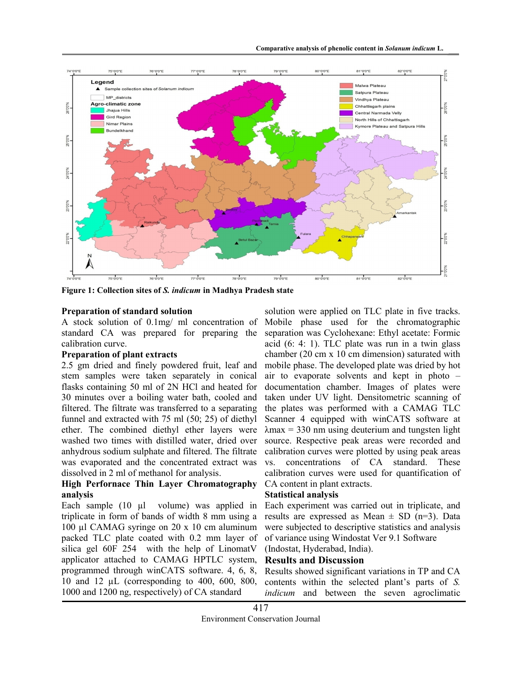

Figure 1: Collection sites of S. indicum in Madhya Pradesh state

#### Preparation of standard solution

A stock solution of 0.1mg/ ml concentration of standard CA was prepared for preparing the calibration curve.

#### Preparation of plant extracts

2.5 gm dried and finely powdered fruit, leaf and stem samples were taken separately in conical flasks containing 50 ml of 2N HCl and heated for 30 minutes over a boiling water bath, cooled and filtered. The filtrate was transferred to a separating funnel and extracted with 75 ml (50; 25) of diethyl ether. The combined diethyl ether layers were washed two times with distilled water, dried over anhydrous sodium sulphate and filtered. The filtrate was evaporated and the concentrated extract was dissolved in 2 ml of methanol for analysis.

## High Perfornace Thin Layer Chromatography analysis

Each sample (10 µl volume) was applied in triplicate in form of bands of width 8 mm using a 100 µl CAMAG syringe on 20 x 10 cm aluminum packed TLC plate coated with 0.2 mm layer of silica gel 60F 254 with the help of LinomatV applicator attached to CAMAG HPTLC system, programmed through winCATS software. 4, 6, 8, 10 and 12 µL (corresponding to 400, 600, 800, 1000 and 1200 ng, respectively) of CA standard

solution were applied on TLC plate in five tracks. Mobile phase used for the chromatographic separation was Cyclohexane: Ethyl acetate: Formic acid (6: 4: 1). TLC plate was run in a twin glass chamber (20 cm x 10 cm dimension) saturated with mobile phase. The developed plate was dried by hot air to evaporate solvents and kept in photo – documentation chamber. Images of plates were taken under UV light. Densitometric scanning of the plates was performed with a CAMAG TLC Scanner 4 equipped with winCATS software at  $\lambda$ max = 330 nm using deuterium and tungsten light source. Respective peak areas were recorded and calibration curves were plotted by using peak areas vs. concentrations of CA standard. These calibration curves were used for quantification of CA content in plant extracts.

#### Statistical analysis

Each experiment was carried out in triplicate, and results are expressed as Mean  $\pm$  SD (n=3). Data were subjected to descriptive statistics and analysis of variance using Windostat Ver 9.1 Software

(Indostat, Hyderabad, India).

# Results and Discussion

Results showed significant variations in TP and CA contents within the selected plant's parts of S. indicum and between the seven agroclimatic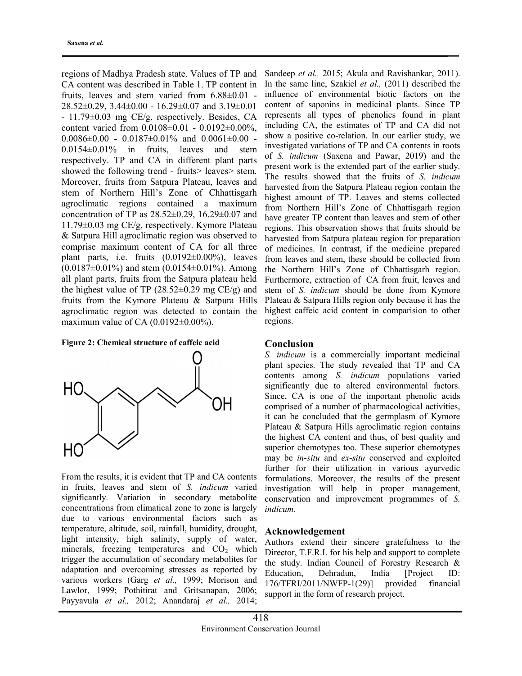regions of Madhya Pradesh state. Values of TP and CA content was described in Table 1. TP content in fruits, leaves and stem varied from 6.88±0.01 -  $28.52\pm0.29$ ,  $3.44\pm0.00$  -  $16.29\pm0.07$  and  $3.19\pm0.01$ - 11.79±0.03 mg CE/g, respectively. Besides, CA content varied from 0.0108±0.01 - 0.0192±0.00%,  $0.0086\pm0.00$  -  $0.0187\pm0.01\%$  and  $0.0061\pm0.00$  -0.0154±0.01% in fruits, leaves and stem respectively. TP and CA in different plant parts showed the following trend - fruits > leaves > stem. Moreover, fruits from Satpura Plateau, leaves and stem of Northern Hill's Zone of Chhattisgarh agroclimatic regions contained a maximum concentration of TP as  $28.52\pm0.29$ ,  $16.29\pm0.07$  and 11.79±0.03 mg CE/g, respectively. Kymore Plateau & Satpura Hill agroclimatic region was observed to comprise maximum content of CA for all three plant parts, i.e. fruits (0.0192±0.00%), leaves  $(0.0187\pm0.01\%)$  and stem  $(0.0154\pm0.01\%)$ . Among all plant parts, fruits from the Satpura plateau held the highest value of TP  $(28.52\pm0.29 \text{ mg CE/g})$  and fruits from the Kymore Plateau & Satpura Hills agroclimatic region was detected to contain the maximum value of CA  $(0.0192 \pm 0.00\%)$ .





From the results, it is evident that TP and CA contents in fruits, leaves and stem of S. indicum varied significantly. Variation in secondary metabolite concentrations from climatical zone to zone is largely due to various environmental factors such as temperature, altitude, soil, rainfall, humidity, drought, light intensity, high salinity, supply of water, minerals, freezing temperatures and  $CO<sub>2</sub>$  which trigger the accumulation of secondary metabolites for adaptation and overcoming stresses as reported by various workers (Garg et al., 1999; Morison and Lawlor, 1999; Pothitirat and Gritsanapan, 2006; Payyavula et al., 2012; Anandaraj et al., 2014; Sandeep et al., 2015; Akula and Ravishankar, 2011). In the same line, Szakiel et al., (2011) described the influence of environmental biotic factors on the content of saponins in medicinal plants. Since TP represents all types of phenolics found in plant including CA, the estimates of TP and CA did not show a positive co-relation. In our earlier study, we investigated variations of TP and CA contents in roots of S. indicum (Saxena and Pawar, 2019) and the present work is the extended part of the earlier study. The results showed that the fruits of S. indicum harvested from the Satpura Plateau region contain the highest amount of TP. Leaves and stems collected from Northern Hill's Zone of Chhattisgarh region have greater TP content than leaves and stem of other regions. This observation shows that fruits should be harvested from Satpura plateau region for preparation of medicines. In contrast, if the medicine prepared from leaves and stem, these should be collected from the Northern Hill's Zone of Chhattisgarh region. Furthermore, extraction of CA from fruit, leaves and stem of S. indicum should be done from Kymore Plateau & Satpura Hills region only because it has the highest caffeic acid content in comparision to other regions.

## Conclusion

S. indicum is a commercially important medicinal plant species. The study revealed that TP and CA contents among S. indicum populations varied significantly due to altered environmental factors. Since, CA is one of the important phenolic acids comprised of a number of pharmacological activities, it can be concluded that the germplasm of Kymore Plateau & Satpura Hills agroclimatic region contains the highest CA content and thus, of best quality and superior chemotypes too. These superior chemotypes may be in-situ and ex-situ conserved and exploited further for their utilization in various ayurvedic formulations. Moreover, the results of the present investigation will help in proper management, conservation and improvement programmes of S. indicum.

#### Acknowledgement

Authors extend their sincere gratefulness to the Director, T.F.R.I. for his help and support to complete the study. Indian Council of Forestry Research & Education, Dehradun, India [Project ID: 176/TFRI/2011/NWFP-1(29)] provided financial support in the form of research project.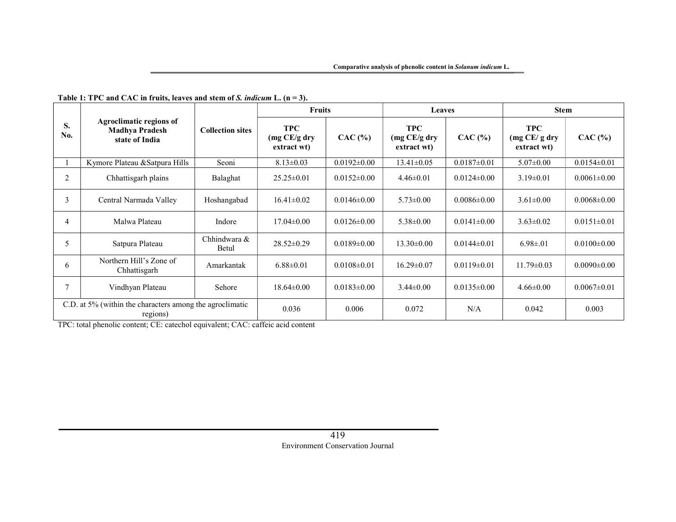| S.<br>No.                                                            | <b>Agroclimatic regions of</b><br><b>Madhya Pradesh</b><br>state of India | <b>Collection sites</b> | <b>Fruits</b>                              |                   | <b>Leaves</b>                             |                   | <b>Stem</b>                                |                   |
|----------------------------------------------------------------------|---------------------------------------------------------------------------|-------------------------|--------------------------------------------|-------------------|-------------------------------------------|-------------------|--------------------------------------------|-------------------|
|                                                                      |                                                                           |                         | <b>TPC</b><br>(mg CE/g dry)<br>extract wt) | CAC (%)           | <b>TPC</b><br>(mg CE/g dry<br>extract wt) | CAC (%)           | <b>TPC</b><br>(mg CE/g dry)<br>extract wt) | $CAC$ (%)         |
|                                                                      | Kymore Plateau & Satpura Hills                                            | Seoni                   | $8.13 \pm 0.03$                            | $0.0192 \pm 0.00$ | $13.41 \pm 0.05$                          | $0.0187 \pm 0.01$ | $5.07 \pm 0.00$                            | $0.0154 \pm 0.01$ |
| 2                                                                    | Chhattisgarh plains                                                       | Balaghat                | $25.25 \pm 0.01$                           | $0.0152 \pm 0.00$ | $4.46 \pm 0.01$                           | $0.0124 \pm 0.00$ | $3.19 \pm 0.01$                            | $0.0061 \pm 0.00$ |
| 3                                                                    | Central Narmada Valley                                                    | Hoshangabad             | $16.41 \pm 0.02$                           | $0.0146 \pm 0.00$ | $5.73 \pm 0.00$                           | $0.0086 \pm 0.00$ | $3.61 \pm 0.00$                            | $0.0068 \pm 0.00$ |
| 4                                                                    | Malwa Plateau                                                             | Indore                  | $17.04 \pm 0.00$                           | $0.0126 \pm 0.00$ | $5.38 \pm 0.00$                           | $0.0141 \pm 0.00$ | $3.63 \pm 0.02$                            | $0.0151 \pm 0.01$ |
| 5                                                                    | Satpura Plateau                                                           | Chhindwara &<br>Betul   | $28.52 \pm 0.29$                           | $0.0189 \pm 0.00$ | $13.30\pm0.00$                            | $0.0144 \pm 0.01$ | $6.98 \pm 0.01$                            | $0.0100 \pm 0.00$ |
| 6                                                                    | Northern Hill's Zone of<br>Chhattisgarh                                   | Amarkantak              | $6.88 \pm 0.01$                            | $0.0108 \pm 0.01$ | $16.29 \pm 0.07$                          | $0.0119 \pm 0.01$ | $11.79 \pm 0.03$                           | $0.0090 \pm 0.00$ |
| 7                                                                    | Vindhyan Plateau                                                          | Sehore                  | $18.64 \pm 0.00$                           | $0.0183 \pm 0.00$ | $3.44 \pm 0.00$                           | $0.0135 \pm 0.00$ | $4.66 \pm 0.00$                            | $0.0067 \pm 0.01$ |
| C.D. at 5% (within the characters among the agroclimatic<br>regions) |                                                                           |                         | 0.036                                      | 0.006             | 0.072                                     | N/A               | 0.042                                      | 0.003             |

## Table 1: TPC and CAC in fruits, leaves and stem of S. indicum L. (n = 3).

TPC: total phenolic content; CE: catechol equivalent; CAC: caffeic acid content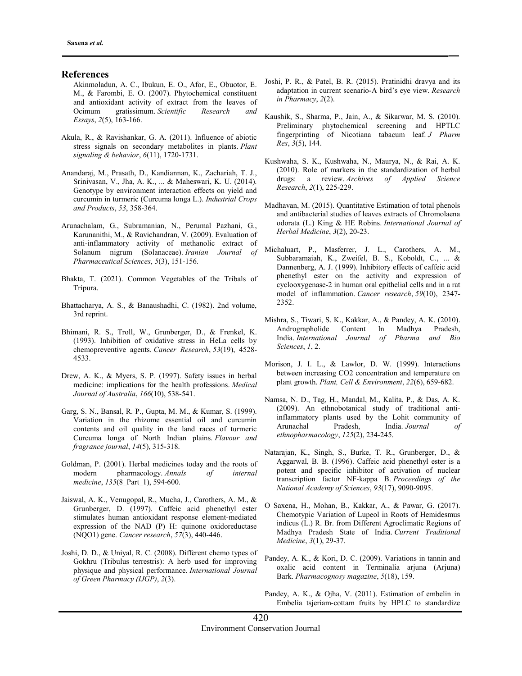#### **References**

- Akinmoladun, A. C., Ibukun, E. O., Afor, E., Obuotor, E. M., & Farombi, E. O. (2007). Phytochemical constituent and antioxidant activity of extract from the leaves of Ocimum gratissimum. Scientific Research and Essays, 2(5), 163-166.
- Akula, R., & Ravishankar, G. A. (2011). Influence of abiotic stress signals on secondary metabolites in plants. Plant signaling & behavior, 6(11), 1720-1731.
- Anandaraj, M., Prasath, D., Kandiannan, K., Zachariah, T. J., Srinivasan, V., Jha, A. K., ... & Maheswari, K. U. (2014). Genotype by environment interaction effects on yield and curcumin in turmeric (Curcuma longa L.). Industrial Crops and Products, 53, 358-364.
- Arunachalam, G., Subramanian, N., Perumal Pazhani, G., Karunanithi, M., & Ravichandran, V. (2009). Evaluation of anti-inflammatory activity of methanolic extract of Solanum nigrum (Solanaceae). Iranian Journal of Pharmaceutical Sciences, 5(3), 151-156.
- Bhakta, T. (2021). Common Vegetables of the Tribals of Tripura.
- Bhattacharya, A. S., & Banaushadhi, C. (1982). 2nd volume, 3rd reprint.
- Bhimani, R. S., Troll, W., Grunberger, D., & Frenkel, K. (1993). Inhibition of oxidative stress in HeLa cells by chemopreventive agents. Cancer Research, 53(19), 4528- 4533.
- Drew, A. K., & Myers, S. P. (1997). Safety issues in herbal medicine: implications for the health professions. Medical Journal of Australia, 166(10), 538-541.
- Garg, S. N., Bansal, R. P., Gupta, M. M., & Kumar, S. (1999). Variation in the rhizome essential oil and curcumin contents and oil quality in the land races of turmeric Curcuma longa of North Indian plains. Flavour and fragrance journal, 14(5), 315-318.
- Goldman, P. (2001). Herbal medicines today and the roots of modern pharmacology. Annals of internal medicine, 135(8 Part 1), 594-600.
- Jaiswal, A. K., Venugopal, R., Mucha, J., Carothers, A. M., & Grunberger, D. (1997). Caffeic acid phenethyl ester stimulates human antioxidant response element-mediated expression of the NAD (P) H: quinone oxidoreductase (NQO1) gene. Cancer research, 57(3), 440-446.
- Joshi, D. D., & Uniyal, R. C. (2008). Different chemo types of Gokhru (Tribulus terrestris): A herb used for improving physique and physical performance. International Journal of Green Pharmacy (IJGP), 2(3).
- Joshi, P. R., & Patel, B. R. (2015). Pratinidhi dravya and its adaptation in current scenario-A bird's eye view. Research in Pharmacy, 2(2).
- Kaushik, S., Sharma, P., Jain, A., & Sikarwar, M. S. (2010). Preliminary phytochemical screening and HPTLC fingerprinting of Nicotiana tabacum leaf. J Pharm Res, 3(5), 144.
- Kushwaha, S. K., Kushwaha, N., Maurya, N., & Rai, A. K. (2010). Role of markers in the standardization of herbal drugs: a review. Archives of Applied Science Research, 2(1), 225-229.
- Madhavan, M. (2015). Quantitative Estimation of total phenols and antibacterial studies of leaves extracts of Chromolaena odorata (L.) King & HE Robins. International Journal of Herbal Medicine, 3(2), 20-23.
- Michaluart, P., Masferrer, J. L., Carothers, A. M., Subbaramaiah, K., Zweifel, B. S., Koboldt, C., ... & Dannenberg, A. J. (1999). Inhibitory effects of caffeic acid phenethyl ester on the activity and expression of cyclooxygenase-2 in human oral epithelial cells and in a rat model of inflammation. Cancer research, 59(10), 2347- 2352.
- Mishra, S., Tiwari, S. K., Kakkar, A., & Pandey, A. K. (2010). Andrographolide Content In Madhya Pradesh, India. International Journal of Pharma and Bio Sciences, 1, 2.
- Morison, J. I. L., & Lawlor, D. W. (1999). Interactions between increasing CO2 concentration and temperature on plant growth. Plant, Cell & Environment, 22(6), 659-682.
- Namsa, N. D., Tag, H., Mandal, M., Kalita, P., & Das, A. K. (2009). An ethnobotanical study of traditional antiinflammatory plants used by the Lohit community of Arunachal Pradesh, India. Journal of ethnopharmacology, 125(2), 234-245.
- Natarajan, K., Singh, S., Burke, T. R., Grunberger, D., & Aggarwal, B. B. (1996). Caffeic acid phenethyl ester is a potent and specific inhibitor of activation of nuclear transcription factor NF-kappa B. Proceedings of the National Academy of Sciences, 93(17), 9090-9095.
- O Saxena, H., Mohan, B., Kakkar, A., & Pawar, G. (2017). Chemotypic Variation of Lupeol in Roots of Hemidesmus indicus (L.) R. Br. from Different Agroclimatic Regions of Madhya Pradesh State of India. Current Traditional Medicine, 3(1), 29-37.
- Pandey, A. K., & Kori, D. C. (2009). Variations in tannin and oxalic acid content in Terminalia arjuna (Arjuna) Bark. Pharmacognosy magazine, 5(18), 159.
- Pandey, A. K., & Ojha, V. (2011). Estimation of embelin in Embelia tsjeriam-cottam fruits by HPLC to standardize